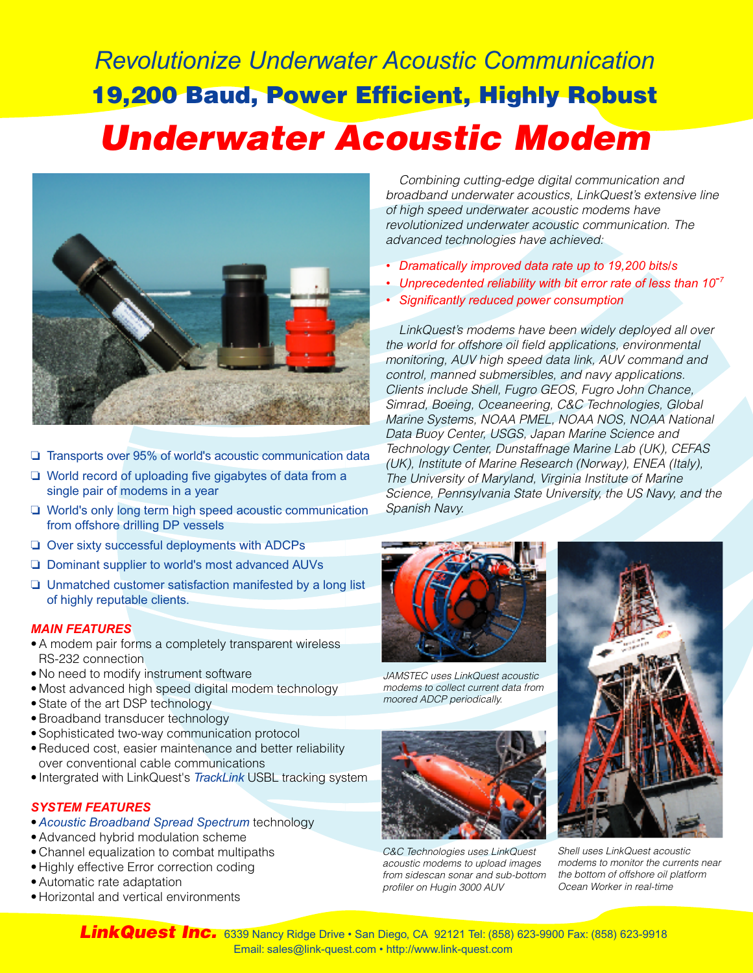# *Revolutionize Underwater Acoustic Communication* 19,200 Baud, Power Efficient, Highly Robust *Underwater Acoustic Modem*



- ❏ Transports over 95% of world's acoustic communication data
- ❏ World record of uploading five gigabytes of data from a single pair of modems in a year
- ❏ World's only long term high speed acoustic communication from offshore drilling DP vessels
- ❏ Over sixty successful deployments with ADCPs
- ❏ Dominant supplier to world's most advanced AUVs
- ❏ Unmatched customer satisfaction manifested by a long list of highly reputable clients.

#### *MAIN FEATURES*

- •A modem pair forms a completely transparent wireless RS-232 connection
- No need to modify instrument software
- Most advanced high speed digital modem technology
- State of the art DSP technology
- •Broadband transducer technology
- Sophisticated two-way communication protocol
- •Reduced cost, easier maintenance and better reliability over conventional cable communications
- Intergrated with LinkQuest's *TrackLink* USBL tracking system

#### *SYSTEM FEATURES*

- •*Acoustic Broadband Spread Spectrum* technology
- •Advanced hybrid modulation scheme
- Channel equalization to combat multipaths
- Highly effective Error correction coding
- •Automatic rate adaptation
- Horizontal and vertical environments

*Combining cutting-edge digital communication and broadband underwater acoustics, LinkQuest's extensive line of high speed underwater acoustic modems have revolutionized underwater acoustic communication. The advanced technologies have achieved:*

- *• Dramatically improved data rate up to 19,200 bits/s*
- *• Unprecedented reliability with bit error rate of less than 10-7*
- *• Significantly reduced power consumption*

*LinkQuest's modems have been widely deployed all over the world for offshore oil field applications, environmental monitoring, AUV high speed data link, AUV command and control, manned submersibles, and navy applications. Clients include Shell, Fugro GEOS, Fugro John Chance, Simrad, Boeing, Oceaneering, C&C Technologies, Global Marine Systems, NOAA PMEL, NOAA NOS, NOAA National Data Buoy Center, USGS, Japan Marine Science and Technology Center, Dunstaffnage Marine Lab (UK), CEFAS (UK), Institute of Marine Research (Norway), ENEA (Italy), The University of Maryland, Virginia Institute of Marine Science, Pennsylvania State University, the US Navy, and the Spanish Navy.*



*JAMSTEC uses LinkQuest acoustic modems to collect current data from moored ADCP periodically.*



*C&C Technologies uses LinkQuest acoustic modems to upload images from sidescan sonar and sub-bottom profiler on Hugin 3000 AUV*



*Shell uses LinkQuest acoustic modems to monitor the currents near the bottom of offshore oil platform Ocean Worker in real-time*